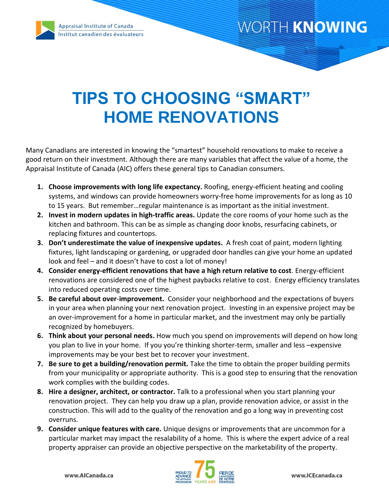

### WORTH KNOWING

# **TIPS TO CHOOSING "SMART" HOME RENOVATIONS**

Many Canadians are interested in knowing the "smartest" household renovations to make to receive a good return on their investment. Although there are many variables that affect the value of a home, the Appraisal Institute of Canada (AIC) offers these general tips to Canadian consumers.

- **1. Choose improvements with long life expectancy.** Roofing, energy-efficient heating and cooling systems, and windows can provide homeowners worry-free home improvements for as long as 10 to 15 years. But remember…regular maintenance is as important as the initial investment.
- **2. Invest in modern updates in high-traffic areas.** Update the core rooms of your home such as the kitchen and bathroom. This can be as simple as changing door knobs, resurfacing cabinets, or replacing fixtures and countertops.
- **3. Don't underestimate the value of inexpensive updates.** A fresh coat of paint, modern lighting fixtures, light landscaping or gardening, or upgraded door handles can give your home an updated look and feel – and it doesn't have to cost a lot of money!
- **4. Consider energy-efficient renovations that have a high return relative to cost**. Energy-efficient renovations are considered one of the highest paybacks relative to cost. Energy efficiency translates into reduced operating costs over time.
- **5. Be careful about over**-**improvement.** Consider your neighborhood and the expectations of buyers in your area when planning your next renovation project. Investing in an expensive project may be an over-improvement for a home in particular market, and the investment may only be partially recognized by homebuyers.
- **6. Think about your personal needs.** How much you spend on improvements will depend on how long you plan to live in your home. If you you're thinking shorter-term, smaller and less –expensive improvements may be your best bet to recover your investment.
- **7. Be sure to get a building/renovation permit.** Take the time to obtain the proper building permits from your municipality or appropriate authority. This is a good step to ensuring that the renovation work complies with the building codes.
- **8. Hire a designer, architect, or contractor.** Talk to a professional when you start planning your renovation project. They can help you draw up a plan, provide renovation advice, or assist in the construction. This will add to the quality of the renovation and go a long way in preventing cost overruns.
- **9. Consider unique features with care.** Unique designs or improvements that are uncommon for a particular market may impact the resalability of a home. This is where the expert advice of a real property appraiser can provide an objective perspective on the marketability of the property.